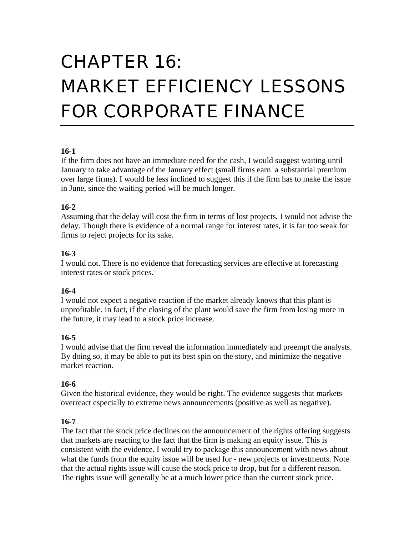# CHAPTER 16: MARKET EFFICIENCY LESSONS FOR CORPORATE FINANCE

#### **16-1**

If the firm does not have an immediate need for the cash, I would suggest waiting until January to take advantage of the January effect (small firms earn a substantial premium over large firms). I would be less inclined to suggest this if the firm has to make the issue in June, since the waiting period will be much longer.

## **16-2**

Assuming that the delay will cost the firm in terms of lost projects, I would not advise the delay. Though there is evidence of a normal range for interest rates, it is far too weak for firms to reject projects for its sake.

## **16-3**

I would not. There is no evidence that forecasting services are effective at forecasting interest rates or stock prices.

## **16-4**

I would not expect a negative reaction if the market already knows that this plant is unprofitable. In fact, if the closing of the plant would save the firm from losing more in the future, it may lead to a stock price increase.

## **16-5**

I would advise that the firm reveal the information immediately and preempt the analysts. By doing so, it may be able to put its best spin on the story, and minimize the negative market reaction.

## **16-6**

Given the historical evidence, they would be right. The evidence suggests that markets overreact especially to extreme news announcements (positive as well as negative).

# **16-7**

The fact that the stock price declines on the announcement of the rights offering suggests that markets are reacting to the fact that the firm is making an equity issue. This is consistent with the evidence. I would try to package this announcement with news about what the funds from the equity issue will be used for - new projects or investments. Note that the actual rights issue will cause the stock price to drop, but for a different reason. The rights issue will generally be at a much lower price than the current stock price.